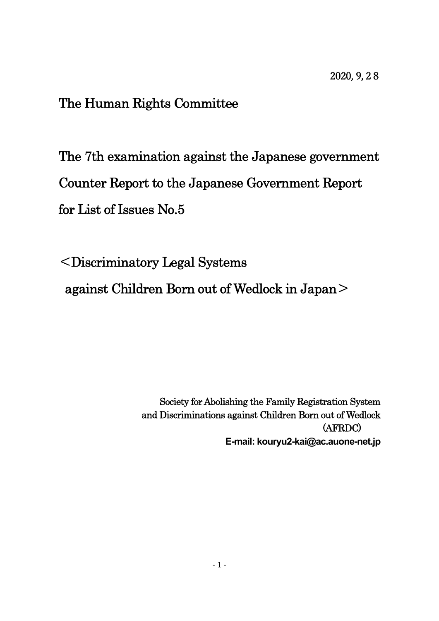# The Human Rights Committee

The 7th examination against the Japanese government Counter Report to the Japanese Government Report for List of Issues No.5

<Discriminatory Legal Systems

against Children Born out of Wedlock in Japan>

Society for Abolishing the Family Registration System and Discriminations against Children Born out of Wedlock (AFRDC) **E-mail: kouryu2-kai@ac.auone-net.jp**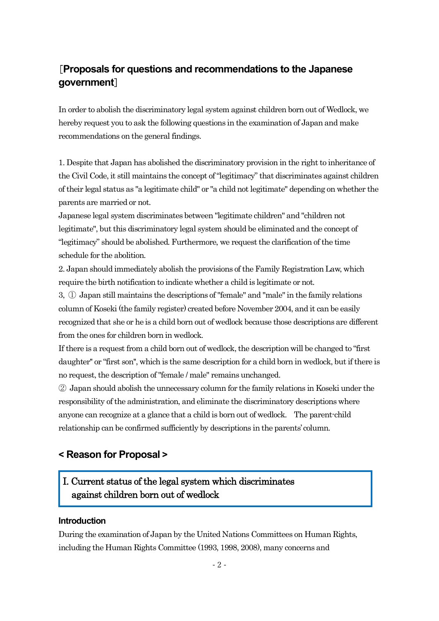# [**Proposals for questions and recommendations to the Japanese government**]

In order to abolish the discriminatory legal system against children born out of Wedlock, we hereby request you to ask the following questions in the examination of Japan and make recommendations on the general findings.

1. Despite that Japan has abolished the discriminatory provision in the right to inheritance of the Civil Code, it still maintains the concept of "legitimacy" that discriminates against children of their legal status as "a legitimate child" or "a child not legitimate" depending on whether the parents are married or not.

Japanese legal system discriminates between "legitimate children" and "children not legitimate", but this discriminatory legal system should be eliminated and the concept of "legitimacy" should be abolished. Furthermore, we request the clarification of the time schedule for the abolition.

2. Japan should immediately abolish the provisions of the Family Registration Law, which require the birth notification to indicate whether a child is legitimate or not.

3, ① Japan still maintains the descriptions of "female" and "male" in the family relations column of Koseki (the family register) created before November 2004, and it can be easily recognized that she or he is a child born out of wedlock because those descriptions are different from the ones for children born in wedlock.

If there is a request from a child born out of wedlock, the description will be changed to "first daughter'' or "first son'', which is the same description for a child born in wedlock, but if there is no request, the description of "female / male" remains unchanged.

② Japan should abolish the unnecessary column for the family relations in Koseki under the responsibility of the administration, and eliminate the discriminatory descriptions where anyone can recognize at a glance that a child is born out of wedlock. The parent-child relationship can be confirmed sufficiently by descriptions in the parents' column.

# **< Reason for Proposal >**

# I. Current status of the legal system which discriminates against children born out of wedlock

### **Introduction**

During the examination of Japan by the United Nations Committees on Human Rights, including the Human Rights Committee (1993, 1998, 2008), many concerns and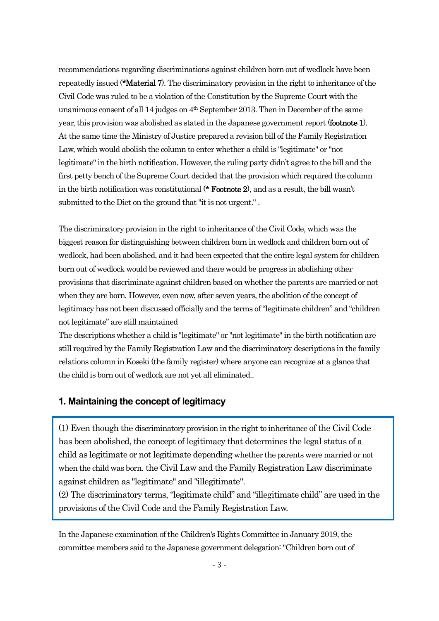recommendations regarding discriminations against children born out of wedlock have been repeatedly issued (\*Material 7). The discriminatory provision in the right to inheritance of the Civil Code was ruled to be a violation of the Constitution by the Supreme Court with the unanimous consent of all 14 judges on  $4<sup>th</sup>$  September 2013. Then in December of the same year, this provision was abolished as stated in the Japanese government report (footnote 1). At the same time the Ministry of Justice prepared a revision bill of the Family Registration Law, which would abolish the column to enter whether a child is "legitimate" or "not legitimate" in the birth notification. However, the ruling party didn't agree to the bill and the first petty bench of the Supreme Court decided that the provision which required the column in the birth notification was constitutional (\* Footnote 2), and as a result, the bill wasn't submitted to the Diet on the ground that "it is not urgent." .

The discriminatory provision in the right to inheritance of the Civil Code, which was the biggest reason for distinguishing between children born in wedlock and children born out of wedlock, had been abolished, and it had been expected that the entire legal system for children born out of wedlock would be reviewed and there would be progress in abolishing other provisions that discriminate against children based on whether the parents are married or not when they are born. However, even now, after seven years, the abolition of the concept of legitimacy has not been discussed officially and the terms of "legitimate children" and "children not legitimate" are still maintained

The descriptions whether a child is "legitimate" or "not legitimate" in the birth notification are still required by the Family Registration Law and the discriminatory descriptions in the family relations column in Koseki (the family register) where anyone can recognize at a glance that the child is born out of wedlock are not yet all eliminated..

### **1. Maintaining the concept of legitimacy**

(1) Even though the discriminatory provision in the right to inheritance of the Civil Code has been abolished, the concept of legitimacy that determines the legal status of a child as legitimate or not legitimate depending whether the parents were married or not when the child was born. the Civil Law and the Family Registration Law discriminate against children as "legitimate" and "illegitimate".

(2) The discriminatory terms, "legitimate child" and "illegitimate child" are used in the provisions of the Civil Code and the Family Registration Law.

In the Japanese examination of the Children's Rights Committee in January 2019, the committee members said to the Japanese government delegation:"Children born out of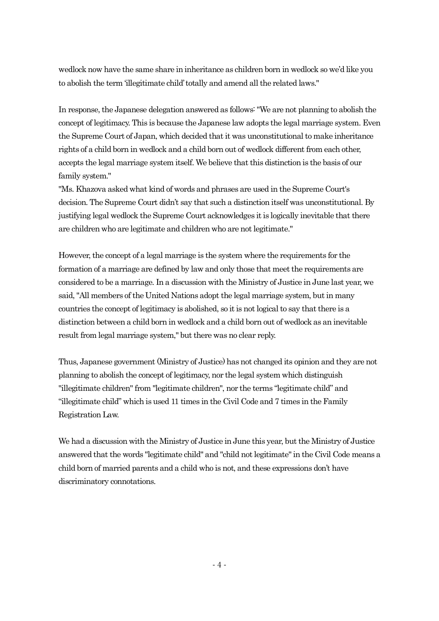wedlock now have the same share in inheritance as children born in wedlock so we'd like you to abolish the term 'illegitimate child'totally and amend all the related laws."

In response, the Japanese delegation answered as follows: "We are not planning to abolish the concept of legitimacy. This is because the Japanese law adopts the legal marriage system. Even the Supreme Court of Japan, which decided that it was unconstitutional to make inheritance rights of a child born in wedlock and a child born out of wedlock different from each other, accepts the legal marriage system itself. We believe that this distinction is the basis of our family system."

"Ms. Khazova asked what kind of words and phrases are used in the Supreme Court's decision. The Supreme Court didn't say that such a distinction itself was unconstitutional. By justifying legal wedlock the Supreme Court acknowledges it is logically inevitable that there are children who are legitimate and children who are not legitimate."

However, the concept of a legal marriage is the system where the requirements for the formation of a marriage are defined by law and only those that meet the requirements are considered to be a marriage. In a discussion with the Ministry of Justice in June last year, we said, "All members of the United Nations adopt the legal marriage system, butin many countries the concept of legitimacy is abolished, so it is not logical to say that there is a distinction between a child born in wedlock and a child born out of wedlock as an inevitable result from legal marriage system," but there was no clear reply.

Thus, Japanese government (Ministry of Justice) has not changed its opinion and they are not planning to abolish the concept of legitimacy, nor the legal system which distinguish "illegitimate children" from "legitimate children", nor the terms "legitimate child" and "illegitimate child" which is used 11 times in the Civil Code and 7 times in the Family Registration Law.

We had a discussion with the Ministry of Justice in June this year, but the Ministry of Justice answered that the words "legitimate child" and "child not legitimate"in the Civil Code means a child born of married parents and a child who is not, and these expressions don't have discriminatory connotations.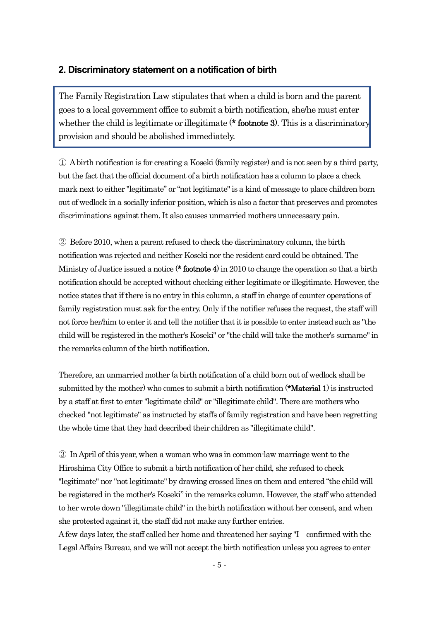### **2. Discriminatory statement on a notification of birth**

The Family Registration Law stipulates that when a child is born and the parent goes to a local government office to submit a birth notification, she/he must enter whether the child is legitimate or illegitimate (\***footnote 3**). This is a discriminatory provision and should be abolished immediately.

① A birth notification is for creating a Koseki (family register) and is not seen by a third party, but the fact that the official document of a birth notification has a column to place a check mark next to either "legitimate" or "not legitimate" is a kind of message to place children born out of wedlock in a socially inferior position, which is also a factor that preserves and promotes discriminations against them. It also causes unmarried mothers unnecessary pain.

② Before 2010, when a parent refused to check the discriminatory column, the birth notification was rejected and neither Koseki nor the resident card could be obtained. The Ministry of Justice issued a notice (\* footnote 4) in 2010 to change the operation so that a birth notification should be accepted without checking either legitimate or illegitimate. However, the notice states that if there is no entry in this column, a staff in charge of counter operations of family registration must ask for the entry. Only if the notifier refuses the request, the staff will not force her/him to enter it and tell the notifier that it is possible to enter instead such as "the child will be registered in the mother's Koseki" or "the child will take the mother's surname"in the remarks column of the birth notification.

Therefore, an unmarried mother (a birth notification of a child born out of wedlock shall be submitted by the mother) who comes to submit a birth notification (\*Material 1) is instructed by a staff at first to enter "legitimate child" or "illegitimate child". There are mothers who checked "not legitimate" as instructed by staffs of family registration and have been regretting the whole time that they had described their children as "illegitimate child".

③ In April of this year, when a woman who was in common-law marriage went to the Hiroshima City Office to submit a birth notification of her child, she refused to check "legitimate" nor "not legitimate" by drawing crossed lines on them and entered "the child will be registered in the mother's Koseki" in the remarks column. However, the staff who attended to her wrote down "illegitimate child"in the birth notification without her consent, and when she protested against it, the staff did not make any further entries.

Afew days later, the staff called her home and threatened her saying "I confirmed with the Legal Affairs Bureau, and we will not accept the birth notification unless you agrees to enter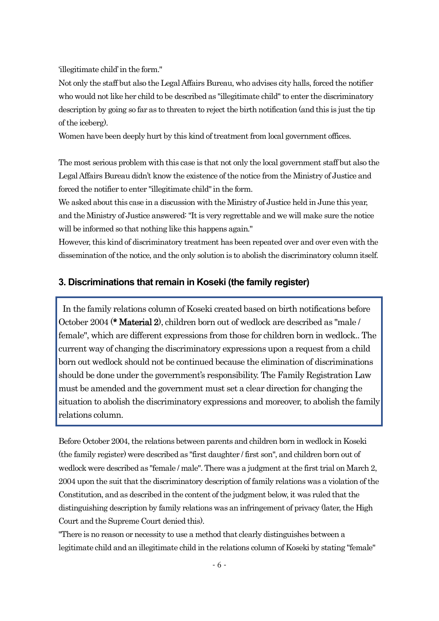'illegitimate child'in the form."

Not only the staff but also the Legal Affairs Bureau, who advises city halls, forced the notifier who would not like her child to be described as "illegitimate child" to enter the discriminatory description by going so far as to threaten to reject the birth notification (and this is just the tip of the iceberg).

Women have been deeply hurt by this kind of treatment from local government offices.

The most serious problem with this case is that not only the local government staff but also the Legal Affairs Bureau didn't know the existence of the notice from the Ministry of Justice and forced the notifier to enter "illegitimate child"in the form.

We asked about this case in a discussion with the Ministry of Justice held in June this year, and the Ministry of Justice answered: "It is very regrettable and we will make sure the notice will be informed so that nothing like this happens again."

However, this kind of discriminatory treatment has been repeated over and over even with the dissemination of the notice, and the only solution is to abolish the discriminatory column itself.

### **3. Discriminations that remain in Koseki (the family register)**

In the family relations column of Koseki created based on birth notifications before October 2004 (\* Material 2), children born out of wedlock are described as "male / female", which are different expressions from those for children born in wedlock.. The current way of changing the discriminatory expressions upon a request from a child born out wedlock should not be continued because the elimination of discriminations should be done under the government's responsibility. The Family Registration Law must be amended and the government must set a clear direction for changing the situation to abolish the discriminatory expressions and moreover, to abolish the family relations column.

Before October 2004, the relations between parents and children born in wedlock in Koseki (the family register) were described as "first daughter / first son", and children born out of wedlock were described as "female / male". There was a judgment at the first trial on March 2, 2004 upon the suit that the discriminatory description of family relations was a violation of the Constitution, and as described in the content of the judgment below, it was ruled that the distinguishing description by family relations was an infringement of privacy (later, the High Court and the Supreme Court denied this).

"There is no reason or necessity to use a method that clearly distinguishes between a legitimate child and an illegitimate child in the relations column of Koseki by stating "female"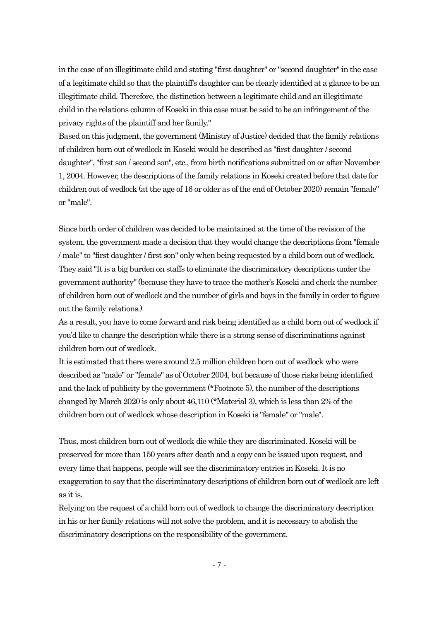in the case of an illegitimate child and stating "first daughter" or "second daughter" in the case of a legitimate child so that the plaintiff's daughter can be clearly identified at a glance to be an illegitimate child. Therefore, the distinction between a legitimate child and an illegitimate child in the relations column of Koseki in this case must be said to be an infringement of the privacy rights of the plaintiff and her family."

Based on this judgment, the government (Ministry of Justice) decided that the family relations of children born out of wedlock in Koseki would be described as "first daughter / second daughter", "first son / second son", etc., from birth notifications submitted on or after November 1, 2004. However, the descriptions of the family relations in Koseki created before that date for children out of wedlock (at the age of 16 or older as of the end of October 2020) remain "female" or "male".

Since birth order of children was decided to be maintained at the time of the revision of the system, the government made a decision that they would change the descriptions from "female / male"to "first daughter / first son" only when being requested by a child born out of wedlock. They said "It is a big burden on staffs to eliminate the discriminatory descriptions under the government authority"(because they have to trace the mother's Koseki and check the number of children born out of wedlock and the number of girls and boys in the family in order to figure out the family relations.)

As a result, you have to come forward and risk being identified as a child born out of wedlock if you'd like to change the description while there is a strong sense of discriminations against children born out of wedlock.

It is estimated that there were around 2.5 million children born out of wedlock who were described as "male" or "female" as of October 2004, but because of those risks being identified and the lack of publicity by the government (\*Footnote 5), the number of the descriptions changed by March 2020 is only about 46,110 (\*Material 3), which is less than 2% of the children born out of wedlock whose description in Koseki is "female" or "male".

Thus, most children born out of wedlock die while they are discriminated. Koseki will be preserved for more than 150 years after death and a copy can be issued upon request, and every time that happens, people will see the discriminatory entries in Koseki. It is no exaggeration to say that the discriminatory descriptions of children born out of wedlock are left as it is.

Relying on the request of a child born out of wedlock to change the discriminatory description in his or her family relations will not solve the problem, and it is necessary to abolish the discriminatory descriptions on the responsibility of the government.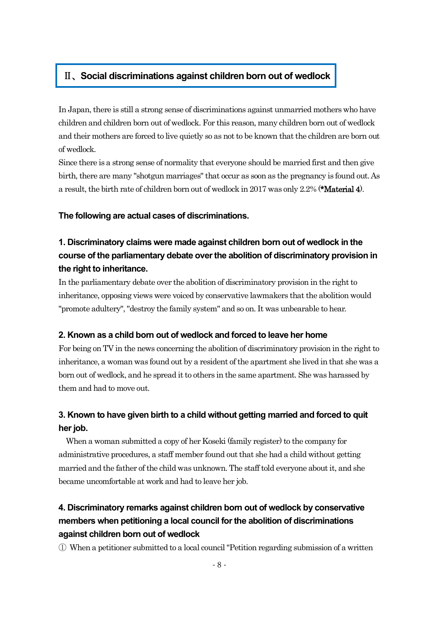### Ⅱ、**Social discriminations against children born out of wedlock**

In Japan, there is still a strong sense of discriminations against unmarried mothers who have children and children born out of wedlock. For this reason, many children born out of wedlock and their mothers are forced to live quietly so as not to be known that the children are born out of wedlock.

Since there is a strong sense of normality that everyone should be married first and then give birth, there are many "shotgun marriages" that occur as soon as the pregnancy is found out. As a result, the birth rate of children born out of wedlock in 2017 was only 2.2% (\*Material 4).

### **The following are actual cases of discriminations.**

# **1. Discriminatory claims were made against children born out of wedlock in the course of the parliamentary debate over the abolition of discriminatory provision in the right to inheritance.**

In the parliamentary debate over the abolition of discriminatory provision in the right to inheritance, opposing views were voiced by conservative lawmakers that the abolition would "promote adultery", "destroy the family system" and so on. It was unbearable to hear.

### **2. Known as a child born out of wedlock and forced to leave her home**

For being on TV in the news concerning the abolition of discriminatory provision in the right to inheritance, a woman was found out by a resident of the apartment she lived in that she was a born out of wedlock, and he spread it to others in the same apartment. She was harassed by them and had to move out.

### **3. Known to have given birth to a child without getting married and forced to quit her job.**

When a woman submitted a copy of her Koseki (family register) to the company for administrative procedures, a staff member found outthat she had a child without getting married and the father of the child was unknown. The staff told everyone about it, and she became uncomfortable at work and had to leave her job.

# **4. Discriminatory remarks against children born out of wedlock by conservative members when petitioning a local council forthe abolition of discriminations against children born out of wedlock**

① When a petitioner submitted to a local council"Petition regarding submission of a written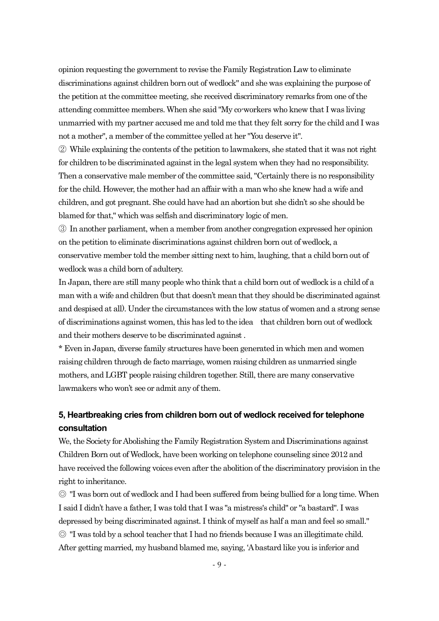opinion requesting the government to revise the Family Registration Law to eliminate discriminations against children born out of wedlock" and she was explaining the purpose of the petition at the committee meeting, she received discriminatory remarks from one of the attending committee members. When she said "My co-workers who knew that I was living unmarried with my partner accused me and told me that they felt sorry for the child and I was not a mother", a member of the committee yelled at her "You deserve it".

② While explaining the contents of the petition to lawmakers, she stated that it was not right for children to be discriminated against in the legal system when they had no responsibility. Then a conservative male member of the committee said, "Certainly there is no responsibility for the child. However, the mother had an affair with a man who she knew had a wife and children, and got pregnant. She could have had an abortion but she didn't so she should be blamed for that," which was selfish and discriminatory logic of men.

③ In another parliament, when a member from another congregation expressed her opinion on the petition to eliminate discriminations against children born out of wedlock, a conservative member told the member sitting next to him, laughing, that a child born out of wedlock was a child born of adultery.

In Japan, there are still many people who think that a child born out of wedlock is a child of a man with a wife and children (but that doesn't mean that they should be discriminated against and despised at all). Under the circumstances with the low status of women and a strong sense of discriminations against women, this has led to the idea that children born out of wedlock and their mothers deserve to be discriminated against.

\* Even in Japan, diverse family structures have been generated in which men and women raising children through de facto marriage, women raising children as unmarried single mothers, and LGBT people raising children together. Still, there are many conservative lawmakers who won't see or admit any of them.

### **5, Heartbreaking cries from children born out of wedlock received fortelephone consultation**

We, the Society for Abolishing the Family Registration System and Discriminations against Children Born out of Wedlock, have been working on telephone counseling since 2012 and have received the following voices even after the abolition of the discriminatory provision in the right to inheritance.

◎ "I was born out of wedlock and I had been suffered from being bullied for a long time. When I said I didn't have a father, I was told that I was "a mistress's child" or "a bastard". I was depressed by being discriminated against. I think of myself as half a man and feel so small." ◎ "I was told by a school teacher that I had no friends because I was an illegitimate child. After getting married, my husband blamed me, saying, 'Abastard like you is inferior and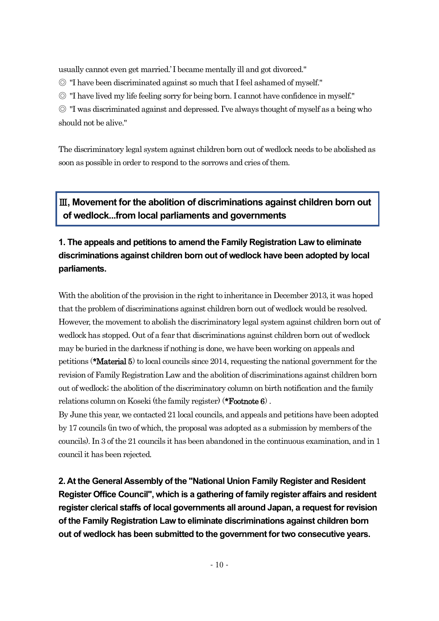usually cannot even get married.' I became mentally ill and got divorced."

◎ "I have been discriminated against so much that I feel ashamed of myself."

◎ "I have lived my life feeling sorry for being born. I cannot have confidence in myself."

◎ "I was discriminated against and depressed. I've always thought of myself as a being who should not be alive."

The discriminatory legal system against children born out of wedlock needs to be abolished as soon as possible in order to respond to the sorrows and cries of them.

# Ⅲ**, Movement for the abolition of discriminations against children born out of wedlock...from local parliaments and governments**

# **1. The appeals and petitions to amend the Family Registration Law to eliminate discriminations against children born out of wedlock have been adopted by local parliaments.**

With the abolition of the provision in the right to inheritance in December 2013, it was hoped that the problem of discriminations against children born out of wedlock would be resolved. However, the movement to abolish the discriminatory legal system against children born out of wedlock has stopped. Out of a fear that discriminations against children born out of wedlock may be buried in the darkness if nothing is done, we have been working on appeals and petitions (\*Material 5) to local councils since 2014, requesting the national government for the revision of Family Registration Law and the abolition of discriminations against children born out of wedlock; the abolition of the discriminatory column on birth notification and the family relations column on Koseki (the family register) (\*Footnote 6) .

By June this year, we contacted 21 local councils, and appeals and petitions have been adopted by 17 councils (in two of which, the proposal was adopted as a submission by members of the councils). In 3 of the 21 councils it has been abandoned in the continuous examination, and in 1 council it has been rejected.

**2. At the General Assembly of the "National Union Family Register and Resident Register Office Council", which is a gathering of family register affairs and resident register clerical staffs of local governments all around Japan, a request for revision of the Family Registration Law to eliminate discriminations against children born out of wedlock has been submitted to the government for two consecutive years.**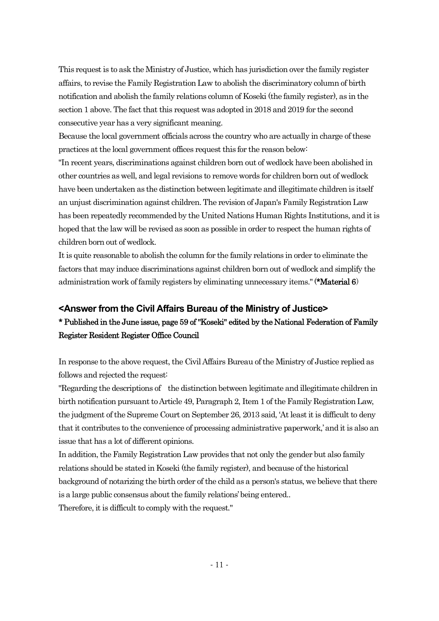This request is to ask the Ministry of Justice, which has jurisdiction over the family register affairs, to revise the Family Registration Law to abolish the discriminatory column of birth notification and abolish the family relations column of Koseki (the family register), as in the section 1 above. The fact that this request was adopted in 2018 and 2019 for the second consecutive year has a very significant meaning.

Because the local government officials across the country who are actually in charge of these practices at the local government offices request this for the reason below:

"In recent years, discriminations against children born out of wedlock have been abolished in other countries as well, and legal revisions to remove words for children born out of wedlock have been undertaken as the distinction between legitimate and illegitimate children is itself an unjust discrimination against children. The revision of Japan's Family Registration Law has been repeatedly recommended by the United Nations Human Rights Institutions, and it is hoped that the law will be revised as soon as possible in order to respect the human rights of children born out of wedlock.

It is quite reasonable to abolish the column for the family relations in order to eliminate the factors that may induce discriminations against children born out of wedlock and simplify the administration work of family registers by eliminating unnecessary items."(\*Material 6)

### **<Answer from the Civil Affairs Bureau of the Ministry of Justice>**

# \* Published in the June issue, page 59 of "Koseki" edited by the National Federation of Family Register Resident Register Office Council

In response to the above request, the Civil Affairs Bureau of the Ministry of Justice replied as follows and rejected the request:

"Regarding the descriptions of the distinction between legitimate and illegitimate children in birth notification pursuant to Article 49, Paragraph 2, Item 1 of the Family Registration Law, the judgment of the Supreme Court on September 26, 2013 said, 'At least it is difficult to deny that it contributes to the convenience of processing administrative paperwork,'and it is also an issue that has a lot of different opinions.

In addition, the Family Registration Law provides that not only the gender but also family relations should be stated in Koseki (the family register), and because of the historical background of notarizing the birth order of the child as a person's status, we believe that there is a large public consensus about the family relations'being entered..

Therefore, it is difficult to comply with the request."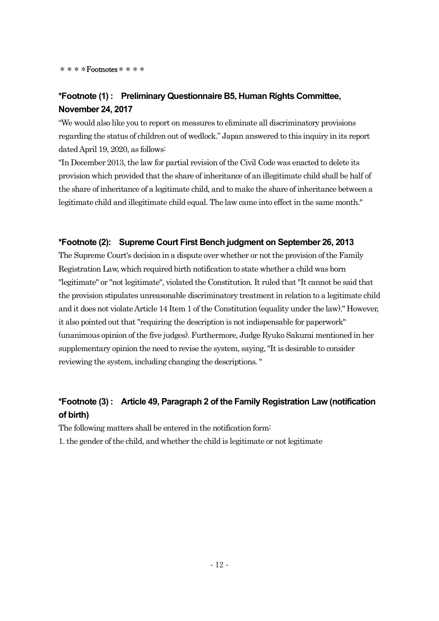\*\*\*\*Footnotes\*\*\*\*

# **\*Footnote (1) : Preliminary Questionnaire B5, Human Rights Committee, November 24, 2017**

"We would also like you to report on measures to eliminate all discriminatory provisions regarding the status of children out of wedlock." Japan answered to this inquiry in its report dated April 19, 2020, as follows:

"In December 2013, the law for partial revision of the Civil Code was enacted to delete its provision which provided that the share of inheritance of an illegitimate child shall be half of the share of inheritance of a legitimate child, and to make the share of inheritance between a legitimate child and illegitimate child equal. The law came into effect in the same month."

### **\*Footnote (2): Supreme Court First Bench judgment on September 26, 2013**

The Supreme Court's decision in a dispute over whether or not the provision of the Family Registration Law, which required birth notification to state whether a child was born "legitimate" or "not legitimate", violated the Constitution. It ruled that "It cannot be said that the provision stipulates unreasonable discriminatory treatment in relation to a legitimate child and it does not violate Article 14 Item 1 of the Constitution (equality under the law)." However, it also pointed out that "requiring the description is not indispensable for paperwork" (unanimous opinion of the five judges). Furthermore, Judge Ryuko Sakurai mentioned in her supplementary opinion the need to revise the system, saying, "It is desirable to consider reviewing the system, including changing the descriptions. "

# **\*Footnote (3) : Article 49, Paragraph 2 of the Family Registration Law (notification of birth)**

The following matters shall be entered in the notification form:

1. the gender of the child, and whether the child is legitimate or not legitimate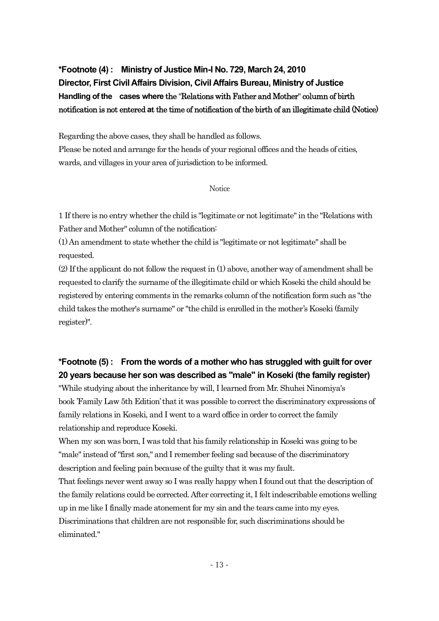# **\*Footnote (4) : Ministry of Justice Min-I No. 729, March 24, 2010 Director, First Civil Affairs Division, Civil Affairs Bureau, Ministry of Justice Handling of the cases where** the "Relations with Father and Mother" column of birth notification is not entered at the time of notification of the birth of an illegitimate child (Notice)

Regarding the above cases, they shall be handled as follows.

Please be noted and arrange for the heads of your regional offices and the heads of cities, wards, and villages in your area of jurisdiction to be informed.

#### **Notice**

1 If there is no entry whether the child is "legitimate or not legitimate"in the "Relations with Father and Mother" column of the notification:

(1) An amendment to state whether the child is "legitimate or not legitimate" shall be requested.

(2) If the applicant do not follow the request in (1) above, another way of amendment shall be requested to clarify the surname of the illegitimate child or which Koseki the child should be registered by entering comments in the remarks column of the notification form such as "the child takes the mother's surname" or "the child is enrolled in the mother's Koseki (family register)".

# **\*Footnote (5) : From the words of a mother who has struggled with guilt for over 20 years because her son was described as "male" in Koseki (the family register)**

"While studying about the inheritance by will, I learned from Mr. Shuhei Ninomiya's book 'Family Law 5th Edition'that it was possible to correct the discriminatory expressions of family relations in Koseki, and I went to a ward office in order to correct the family relationship and reproduce Koseki.

When my son was born, I was told that his family relationship in Koseki was going to be "male" instead of "first son," and I remember feeling sad because of the discriminatory description and feeling pain because of the guilty that it was my fault.

That feelings never went away so I was really happy when I found out that the description of the family relations could be corrected. After correcting it, I felt indescribable emotions welling up in me like I finally made atonement for my sin and the tears came into my eyes. Discriminations that children are not responsible for, such discriminations should be eliminated."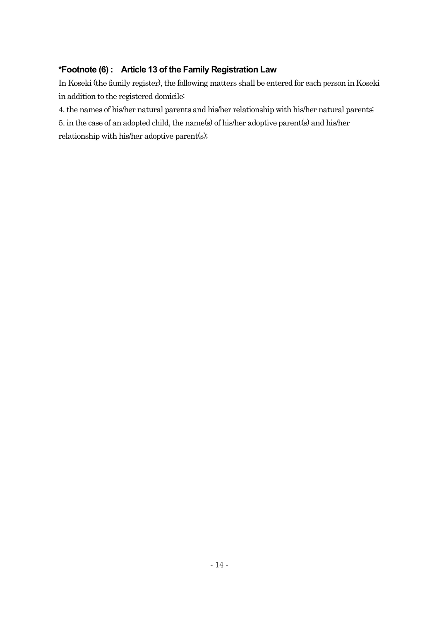### **\*Footnote (6) : Article 13 of the Family Registration Law**

In Koseki (the family register), the following matters shall be entered for each person in Koseki in addition to the registered domicile:

4. the names of his/her natural parents and his/her relationship with his/her natural parents;

5. in the case of an adopted child, the name(s) of his/her adoptive parent(s) and his/her relationship with his/her adoptive parent(s);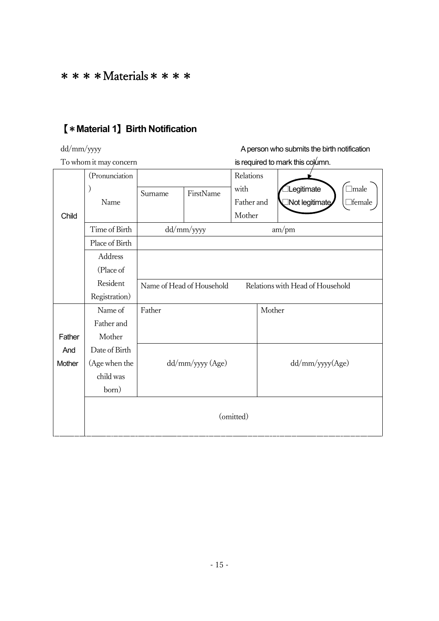# $***$  \* \* Materials \* \* \* \*

# 【\***Material 1**】**Birth Notification**

# dd/mm/yyyy A person who submits the birth notification

# To whom it may concern is required to mark this column.

|        | (Pronunciation |                                                               |            | Relations  |                 |                |               |
|--------|----------------|---------------------------------------------------------------|------------|------------|-----------------|----------------|---------------|
|        |                | Surname                                                       | FirstName  | with       |                 | Legitimate     | $\Box$ male   |
|        | Name           |                                                               |            | Father and |                 | Not legitimate | $\Box$ female |
| Child  |                |                                                               |            | Mother     |                 |                |               |
|        | Time of Birth  |                                                               | dd/mm/yyyy | am/pm      |                 |                |               |
|        | Place of Birth |                                                               |            |            |                 |                |               |
|        | Address        |                                                               |            |            |                 |                |               |
|        | (Place of      |                                                               |            |            |                 |                |               |
|        | Resident       | Relations with Head of Household<br>Name of Head of Household |            |            |                 |                |               |
|        | Registration)  |                                                               |            |            |                 |                |               |
|        | Name of        | Father                                                        |            |            | Mother          |                |               |
|        | Father and     |                                                               |            |            |                 |                |               |
| Father | Mother         |                                                               |            |            |                 |                |               |
| And    | Date of Birth  |                                                               |            |            |                 |                |               |
| Mother | (Age when the  | dd/mm/yyyy (Age)                                              |            |            | dd/mm/yyyy(Age) |                |               |
|        | child was      |                                                               |            |            |                 |                |               |
|        | born)          |                                                               |            |            |                 |                |               |
|        | (omitted)      |                                                               |            |            |                 |                |               |
|        |                |                                                               |            |            |                 |                |               |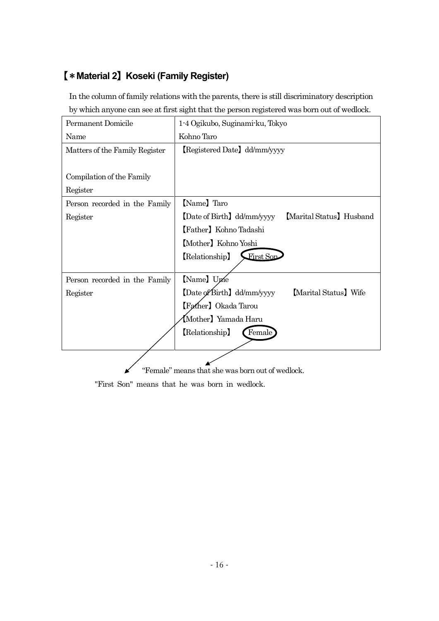# 【\***Material 2**】**Koseki (Family Register)**

In the column of family relations with the parents, there is still discriminatory description by which anyone can see at first sight that the person registered was born out of wedlock.

| Permanent Domicile             | 1-4 Ogikubo, Suginami-ku, Tokyo                      |  |  |  |  |
|--------------------------------|------------------------------------------------------|--|--|--|--|
| Name                           | Kohno Taro                                           |  |  |  |  |
| Matters of the Family Register | [Registered Date] dd/mm/yyyy                         |  |  |  |  |
|                                |                                                      |  |  |  |  |
| Compilation of the Family      |                                                      |  |  |  |  |
| Register                       |                                                      |  |  |  |  |
| Person recorded in the Family  | [Name] Taro                                          |  |  |  |  |
| Register                       | [Date of Birth] dd/mm/yyyy<br>Marital Status Husband |  |  |  |  |
|                                | [Father] Kohno Tadashi                               |  |  |  |  |
|                                | [Mother] Kohno Yoshi                                 |  |  |  |  |
|                                | First Son<br>(Relationship)                          |  |  |  |  |
|                                |                                                      |  |  |  |  |
| Person recorded in the Family  | [Name] Une                                           |  |  |  |  |
| Register                       | [Date of Birth] dd/mm/yyyy<br>Marital Status Wife    |  |  |  |  |
|                                | [Father] Okada Tarou                                 |  |  |  |  |
| Mother) Yamada Haru            |                                                      |  |  |  |  |
| [Relationship]<br>[Female]     |                                                      |  |  |  |  |
|                                |                                                      |  |  |  |  |

"Female" means that she was born out of wedlock.

"First Son" means that he was born in wedlock.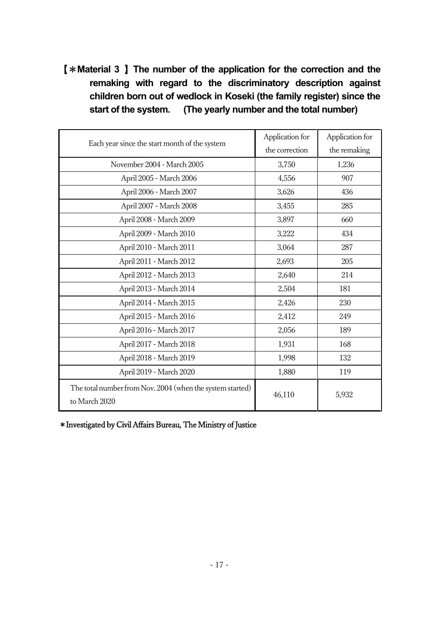# 【\***Material 3** 】**The number of the application for the correction and the remaking with regard to the discriminatory description against children born out of wedlock in Koseki (the family register) since the start of the system. (The yearly number and the total number)**

| Each year since the start month of the system                              | Application for<br>the correction | Application for<br>the remaking |
|----------------------------------------------------------------------------|-----------------------------------|---------------------------------|
| November 2004 - March 2005                                                 | 3,750                             | 1,236                           |
| April 2005 - March 2006                                                    | 4,556                             | 907                             |
| April 2006 - March 2007                                                    | 3,626                             | 436                             |
| April 2007 - March 2008                                                    | 3,455                             | 285                             |
| April 2008 - March 2009                                                    | 3,897                             | 660                             |
| April 2009 - March 2010                                                    | 3,222                             | 434                             |
| April 2010 - March 2011                                                    | 3,064                             | 287                             |
| April 2011 - March 2012                                                    | 2,693                             | 205                             |
| April 2012 - March 2013                                                    | 2,640                             | 214                             |
| April 2013 - March 2014                                                    | 2,504                             | 181                             |
| April 2014 - March 2015                                                    | 2,426                             | 230                             |
| April 2015 - March 2016                                                    | 2,412                             | 249                             |
| April 2016 - March 2017                                                    | 2,056                             | 189                             |
| April 2017 - March 2018                                                    | 1,931                             | 168                             |
| April 2018 - March 2019                                                    | 1,998                             | 132                             |
| April 2019 - March 2020                                                    | 1,880                             | 119                             |
| The total number from Nov. 2004 (when the system started)<br>to March 2020 | 46,110                            | 5,932                           |

\*Investigated by Civil Affairs Bureau, The Ministry of Justice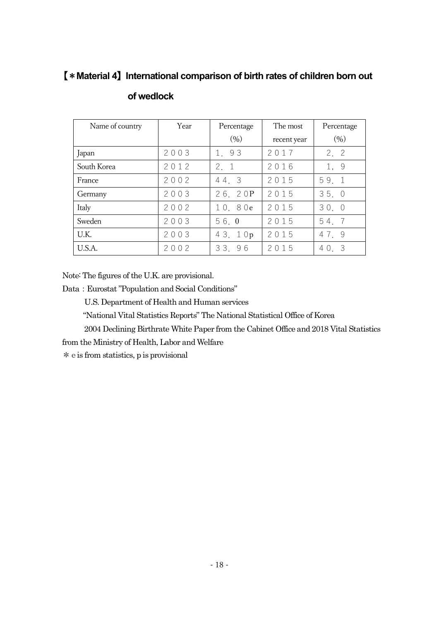# 【\***Material 4**】**International comparison of birth rates of children born out**

| Name of country | Year | Percentage        |             | Percentage |
|-----------------|------|-------------------|-------------|------------|
|                 |      | (9 <sub>0</sub> ) | recent year | (9/0)      |
| Japan           | 2003 | 1, 93             | 2017        | 2, 2       |
| South Korea     | 2012 | 2, 1              | 2016        | 1, 9       |
| France          | 2002 | 44.3              | 2015        | 59.1       |
| Germany         | 2003 | 26.20P            | 2015        | 35.0       |
| Italy           | 2002 | 10.80e            | 2015        | 30.0       |
| Sweden          | 2003 | 56.0              | 2015        | 54.7       |
| U.K.            | 2003 | 43. 10p           | 2015        | 47.9       |
| U.S.A.          | 2002 | 33.96             | 2015        | 40.3       |

### **of wedlock**

Note: The figures of the U.K. are provisional.

Data: Eurostat "Population and Social Conditions"

U.S. Department of Health and Human services

"National Vital Statistics Reports" The National Statistical Office of Korea

2004 Declining Birthrate White Paper from the Cabinet Office and 2018 Vital Statistics

from the Ministry of Health, Labor and Welfare

\*eis from statistics, p is provisional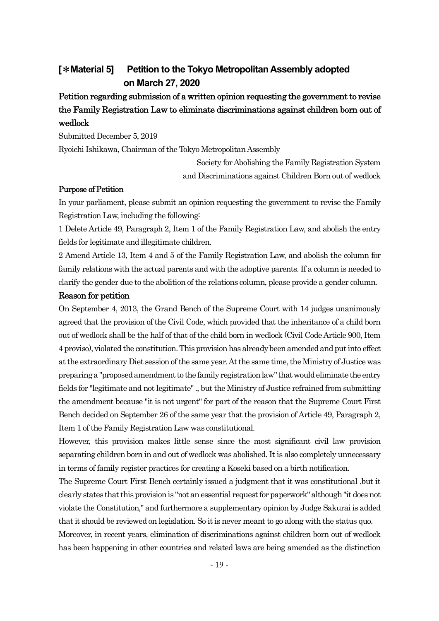# **[**\***Material 5] Petition to the Tokyo Metropolitan Assembly adopted on March 27, 2020**

# Petition regarding submission of a written opinion requesting the government to revise the Family Registration Law to eliminate discriminations against children born out of wedlock

Submitted December 5, 2019

Ryoichi Ishikawa, Chairman of the Tokyo Metropolitan Assembly

Society for Abolishing the Family Registration System and Discriminations against Children Born out of wedlock

### Purpose of Petition

In your parliament, please submit an opinion requesting the government to revise the Family Registration Law, including the following:

1 Delete Article 49, Paragraph 2, Item 1 of the Family Registration Law, and abolish the entry fields for legitimate and illegitimate children.

2 Amend Article 13, Item 4 and 5 of the Family Registration Law, and abolish the column for family relations with the actual parents and with the adoptive parents. If a column is needed to clarify the gender due to the abolition of the relations column, please provide a gender column.

#### Reason for petition

On September 4, 2013, the Grand Bench of the Supreme Court with 14 judges unanimously agreed that the provision of the Civil Code, which provided that the inheritance of a child born out of wedlock shall be the half of that of the child born in wedlock (Civil Code Article 900, Item 4 proviso),violated the constitution. This provisionhas already been amended and put into effect at the extraordinary Diet session of the same year. At the same time, the Ministry of Justice was preparing a "proposed amendment to the family registration law" that would eliminate the entry fields for "legitimate and not legitimate"., but the Ministry of Justice refrained from submitting the amendment because "it is not urgent" for part of the reason that the Supreme Court First Bench decided on September 26 of the same year that the provision of Article 49, Paragraph 2, Item 1 of the Family Registration Law was constitutional.

However, this provision makes little sense since the most significant civil law provision separating children born in and out of wedlock was abolished. It is also completely unnecessary in terms of family register practices for creating a Koseki based on a birth notification.

The Supreme Court First Bench certainly issued a judgment that it was constitutional ,but it clearly states that this provision is "not an essential request for paperwork"although "it does not violate the Constitution," and furthermore a supplementary opinion by Judge Sakurai is added that it should be reviewed on legislation. So it is never meant to go along with the status quo. Moreover, in recent years, elimination of discriminations against children born out of wedlock has been happening in other countries and related laws are being amended as the distinction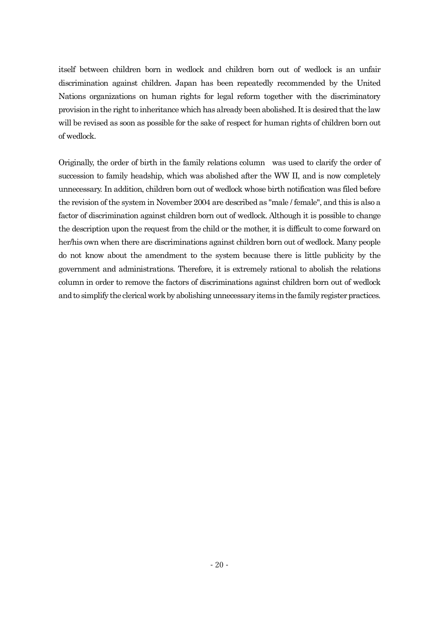itself between children born in wedlock and children born out of wedlock is an unfair discrimination against children. Japan has been repeatedly recommended by the United Nations organizations on human rights for legal reform together with the discriminatory provision inthe right to inheritance which has already been abolished. It is desired that the law will be revised as soon as possible for the sake of respect for human rights of children born out of wedlock.

Originally, the order of birth in the family relations column was used to clarify the order of succession to family headship, which was abolished after the WW II, and is now completely unnecessary. In addition, children born out of wedlock whose birth notification was filed before the revision of the system in November 2004 are described as "male / female", and this is also a factor of discrimination against children born out of wedlock. Although it is possible to change the description upon the request from the child or the mother, it is difficult to come forward on her/his own when there are discriminations against children born out of wedlock. Many people do not know about the amendment to the system because there is little publicity by the government and administrations. Therefore, it is extremely rational to abolish the relations column in order to remove the factors of discriminations against children born out of wedlock and to simplify the clerical work by abolishing unnecessary items in the family register practices.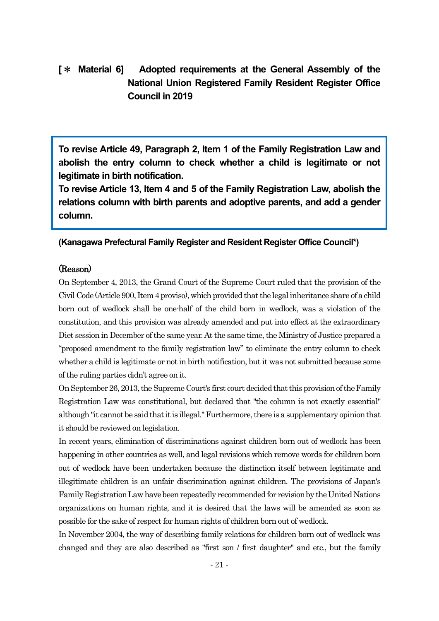# **[**\* **Material 6] Adopted requirements at the General Assembly of the National Union Registered Family Resident Register Office Council in 2019**

**To revise Article 49, Paragraph 2, Item 1 of the Family Registration Law and abolish the entry column to check whether a child is legitimate or not legitimate in birth notification.**

**To revise Article 13, Item 4 and 5 of the Family Registration Law, abolish the relations column with birth parents and adoptive parents, and add a gender column.**

### **(Kanagawa Prefectural Family Register and Resident Register Office Council\*)**

### (Reason)

On September 4, 2013, the Grand Court of the Supreme Court ruled that the provision of the Civil Code (Article 900, Item4 proviso),which provided that the legal inheritance share of a child born out of wedlock shall be one-half of the child born in wedlock, was a violation of the constitution, and this provision was already amended and put into effect at the extraordinary Diet session in December of the same year. At the same time, the Ministry of Justice prepared a "proposed amendment to the family registration law" to eliminate the entry column to check whether a child is legitimate or not in birth notification, but it was not submitted because some of the ruling parties didn't agree on it.

On September 26, 2013, the Supreme Court's first court decided that this provision ofthe Family Registration Law was constitutional, but declared that "the column is not exactly essential" although "it cannot be said that it is illegal." Furthermore, there is a supplementary opinion that it should be reviewed on legislation.

In recent years, elimination of discriminations against children born out of wedlock has been happening in other countries as well, and legal revisions which remove words for children born out of wedlock have been undertaken because the distinction itself between legitimate and illegitimate children is an unfair discrimination against children. The provisions of Japan's Family RegistrationLaw have been repeatedly recommended for revision by the United Nations organizations on human rights, and it is desired that the laws will be amended as soon as possible for the sake of respect for human rights of children born out of wedlock.

In November 2004, the way of describing family relations for children born out of wedlock was changed and they are also described as "first son / first daughter" and etc., but the family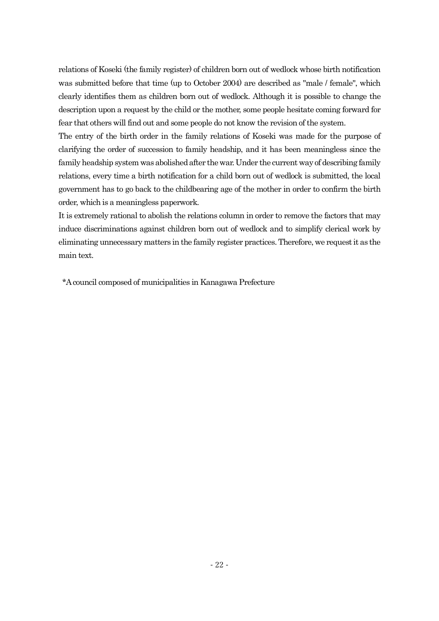relations of Koseki (the family register) of children born out of wedlock whose birth notification was submitted before that time (up to October 2004) are described as "male / female", which clearly identifies them as children born out of wedlock. Although it is possible to change the description upon a request by the child or the mother, some people hesitate coming forward for fear that others will find out and some people do not know the revision of the system.

The entry of the birth order in the family relations of Koseki was made for the purpose of clarifying the order of succession to family headship, and it has been meaningless since the family headship system was abolished after the war. Under the current way of describing family relations, every time a birth notification for a child born out of wedlock is submitted, the local government has to go back to the childbearing age of the mother in order to confirm the birth order, which is a meaningless paperwork.

It is extremely rational to abolish the relations column in order to remove the factors that may induce discriminations against children born out of wedlock and to simplify clerical work by eliminating unnecessary matters in the family register practices. Therefore, we request it as the main text.

\*A council composed of municipalities in Kanagawa Prefecture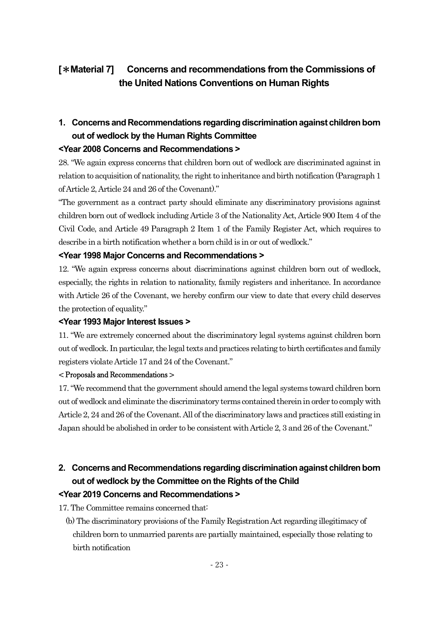# **[**\***Material 7] Concerns and recommendations from the Commissions of the United Nations Conventions on Human Rights**

# **1. Concerns and Recommendations regarding discrimination against children born out of wedlock by the Human Rights Committee <Year 2008 Concerns and Recommendations >**

28. "We again express concerns that children born out of wedlock are discriminated against in relation to acquisition of nationality, the right to inheritance and birth notification (Paragraph 1 of Article 2, Article 24 and 26 of the Covenant)."

"The government as a contract party should eliminate any discriminatory provisions against children born out of wedlock including Article 3 of the Nationality Act, Article 900 Item 4 of the Civil Code, and Article 49 Paragraph 2 Item 1 of the Family Register Act, which requires to describe in a birth notification whether a born child is in or out of wedlock."

### **<Year 1998 Major Concerns and Recommendations >**

12. "We again express concerns about discriminations against children born out of wedlock, especially, the rights in relation to nationality, family registers and inheritance. In accordance with Article 26 of the Covenant, we hereby confirm our view to date that every child deserves the protection of equality."

### **<Year 1993 Major Interest Issues >**

11. "We are extremely concerned about the discriminatory legal systems against children born out ofwedlock. In particular, the legal texts and practices relating to birth certificates and family registers violate Article 17 and 24 of the Covenant."

### < Proposals and Recommendations >

17."We recommend that the government should amend the legal systems toward children born out of wedlock and eliminate the discriminatory terms contained therein in order to comply with Article 2, 24 and 26 of the Covenant. All of the discriminatory laws and practices still existing in Japan should be abolished in order to be consistent with Article 2, 3 and 26 of the Covenant."

# **2. Concerns and Recommendations regarding discrimination against children born out of wedlock by the Committee on the Rights of the Child <Year 2019 Concerns and Recommendations >**

17. The Committee remains concerned that:

(b) The discriminatory provisions of the Family Registration Act regarding illegitimacy of children born to unmarried parents are partially maintained, especially those relating to birth notification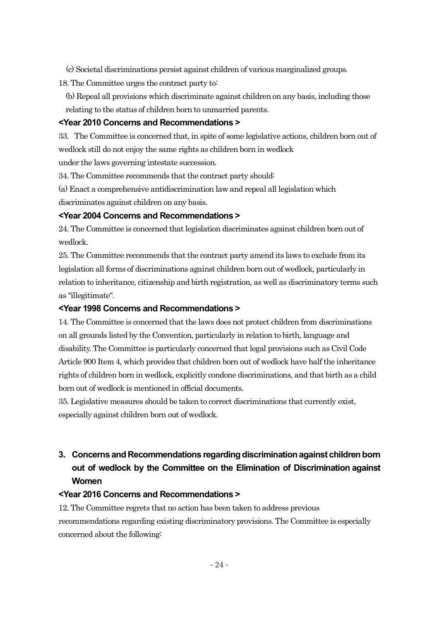(c) Societal discriminations persist against children of various marginalized groups.

18. The Committee urges the contract party to:

(b) Repeal all provisions which discriminate against children on any basis, including those relating to the status of children born to unmarried parents.

### **<Year 2010 Concerns and Recommendations >**

33. The Committee is concerned that, in spite of some legislative actions, children born out of wedlock still do not enjoy the same rights as children born in wedlock

under the laws governing intestate succession.

34. The Committee recommends that the contract party should:

(a) Enact a comprehensive antidiscrimination law and repeal all legislation which discriminates against children on any basis.

### **<Year 2004 Concerns and Recommendations >**

24. The Committee is concerned that legislation discriminates against children born out of wedlock.

25. The Committee recommends that the contract party amend its laws to exclude from its legislation all forms of discriminations against children born out of wedlock, particularly in relation to inheritance, citizenship and birth registration, as well as discriminatory terms such as "illegitimate".

### **<Year 1998 Concerns and Recommendations >**

14. The Committee is concerned that the laws does not protect children from discriminations on all grounds listed by the Convention, particularly in relation to birth, language and disability. The Committee is particularly concerned that legal provisions such as Civil Code Article 900 Item 4, which provides that children born out of wedlock have half the inheritance rights of children born in wedlock, explicitly condone discriminations, and that birth as a child born out of wedlock is mentioned in official documents.

35. Legislative measures should be taken to correct discriminations that currently exist, especially against children born out of wedlock.

# **3. Concerns and Recommendations regarding discrimination against children born out of wedlock by the Committee on the Elimination of Discrimination against Women**

### **<Year 2016 Concerns and Recommendations >**

12. The Committee regrets that no action has been taken to address previous recommendations regarding existing discriminatory provisions. The Committee is especially concerned about the following: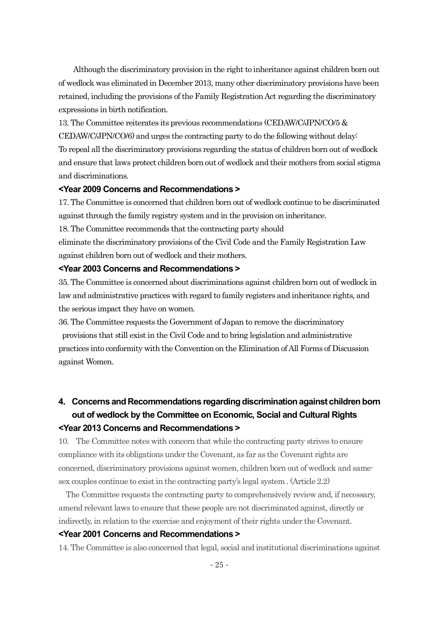Although the discriminatory provision in the right to inheritance against children born out of wedlock was eliminated in December 2013, many other discriminatory provisions have been retained, including the provisions of the Family Registration Act regarding the discriminatory expressions in birth notification.

13. The Committee reiterates its previous recommendations (CEDAW/C/JPN/CO/5 & CEDAW/C/JPN/CO/6) and urges the contracting party to do the following without delay: To repeal all the discriminatory provisions regarding the status of children born out of wedlock and ensure that laws protect children born out of wedlock and their mothers from social stigma and discriminations.

#### **<Year 2009 Concerns and Recommendations >**

17. The Committee is concerned that children born out of wedlock continue to be discriminated against through the family registry system and in the provision on inheritance.

18. The Committee recommends that the contracting party should

eliminate the discriminatory provisions ofthe Civil Code and the Family Registration Law against children born out of wedlock and their mothers.

#### **<Year 2003 Concerns and Recommendations >**

35. The Committee is concerned about discriminations against children born out of wedlock in law and administrative practices with regard to family registers and inheritance rights, and the serious impact they have on women.

36. The Committee requests the Government of Japan to remove the discriminatory provisions that still existin the Civil Code and to bring legislation and administrative practices into conformity with the Conventionon the Elimination of All Forms of Discussion against Women.

# **4. Concerns and Recommendations regarding discrimination against children born out of wedlock by the Committee on Economic, Social and Cultural Rights <Year 2013 Concerns and Recommendations >**

10. The Committee notes with concern that while the contracting party strives to ensure compliance with its obligations under the Covenant, as far as the Covenant rights are concerned, discriminatory provisions against women, children born out of wedlock and samesex couples continue to exist in the contracting party's legal system . (Article 2.2)

The Committee requests the contracting party to comprehensively review and, if necessary, amend relevantlaws to ensure that these people are not discriminated against, directly or indirectly, in relation to the exercise and enjoyment of their rights under the Covenant.

### **<Year 2001 Concerns and Recommendations >**

14. The Committee is also concerned that legal, social and institutional discriminations against